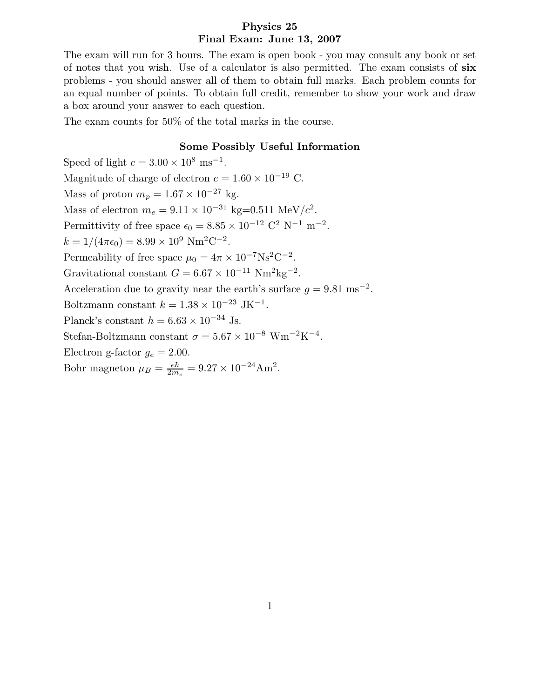## Physics 25 Final Exam: June 13, 2007

The exam will run for 3 hours. The exam is open book - you may consult any book or set of notes that you wish. Use of a calculator is also permitted. The exam consists of six problems - you should answer all of them to obtain full marks. Each problem counts for an equal number of points. To obtain full credit, remember to show your work and draw a box around your answer to each question.

The exam counts for 50% of the total marks in the course.

## Some Possibly Useful Information

Speed of light  $c = 3.00 \times 10^8$  ms<sup>-1</sup>. Magnitude of charge of electron  $e = 1.60 \times 10^{-19}$  C. Mass of proton  $m_p = 1.67 \times 10^{-27}$  kg. Mass of electron  $m_e = 9.11 \times 10^{-31} \text{ kg} = 0.511 \text{ MeV}/c^2$ . Permittivity of free space  $\epsilon_0 = 8.85 \times 10^{-12} \text{ C}^2 \text{ N}^{-1} \text{ m}^{-2}$ .  $k = 1/(4\pi\epsilon_0) = 8.99 \times 10^9$  Nm<sup>2</sup>C<sup>-2</sup>. Permeability of free space  $\mu_0 = 4\pi \times 10^{-7} \text{Ns}^2 \text{C}^{-2}$ . Gravitational constant  $G = 6.67 \times 10^{-11} \text{ Nm}^2 \text{kg}^{-2}$ . Acceleration due to gravity near the earth's surface  $g = 9.81 \text{ ms}^{-2}$ . Boltzmann constant  $k = 1.38 \times 10^{-23}$  JK<sup>-1</sup>. Planck's constant  $h = 6.63 \times 10^{-34}$  Js. Stefan-Boltzmann constant  $\sigma = 5.67 \times 10^{-8}$  Wm<sup>-2</sup>K<sup>-4</sup>. Electron g-factor  $g_e = 2.00$ . Bohr magneton  $\mu_B = \frac{e\hbar}{2m}$  $\frac{e\hbar}{2m_e} = 9.27 \times 10^{-24} \text{Am}^2.$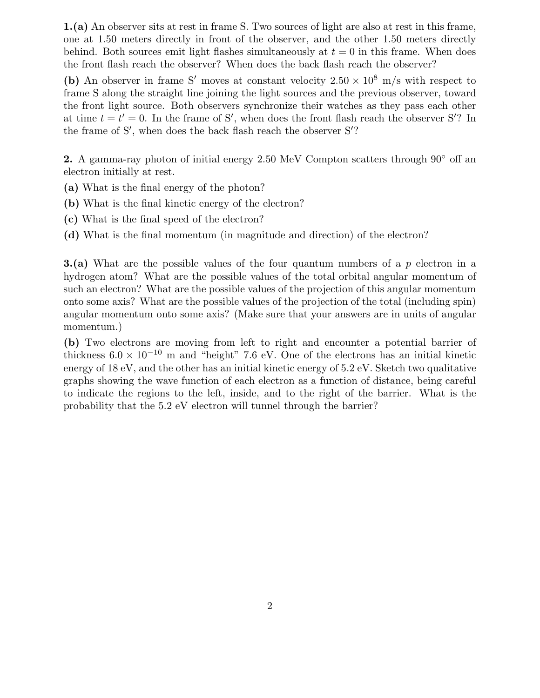1.(a) An observer sits at rest in frame S. Two sources of light are also at rest in this frame, one at 1.50 meters directly in front of the observer, and the other 1.50 meters directly behind. Both sources emit light flashes simultaneously at  $t = 0$  in this frame. When does the front flash reach the observer? When does the back flash reach the observer?

(b) An observer in frame S' moves at constant velocity  $2.50 \times 10^8$  m/s with respect to frame S along the straight line joining the light sources and the previous observer, toward the front light source. Both observers synchronize their watches as they pass each other at time  $t = t' = 0$ . In the frame of S', when does the front flash reach the observer S'? In the frame of  $S'$ , when does the back flash reach the observer  $S'$ ?

2. A gamma-ray photon of initial energy 2.50 MeV Compton scatters through  $90^{\circ}$  off an electron initially at rest.

- (a) What is the final energy of the photon?
- (b) What is the final kinetic energy of the electron?
- (c) What is the final speed of the electron?
- (d) What is the final momentum (in magnitude and direction) of the electron?

**3.(a)** What are the possible values of the four quantum numbers of a  $p$  electron in a hydrogen atom? What are the possible values of the total orbital angular momentum of such an electron? What are the possible values of the projection of this angular momentum onto some axis? What are the possible values of the projection of the total (including spin) angular momentum onto some axis? (Make sure that your answers are in units of angular momentum.)

(b) Two electrons are moving from left to right and encounter a potential barrier of thickness  $6.0 \times 10^{-10}$  m and "height" 7.6 eV. One of the electrons has an initial kinetic energy of 18 eV, and the other has an initial kinetic energy of 5.2 eV. Sketch two qualitative graphs showing the wave function of each electron as a function of distance, being careful to indicate the regions to the left, inside, and to the right of the barrier. What is the probability that the 5.2 eV electron will tunnel through the barrier?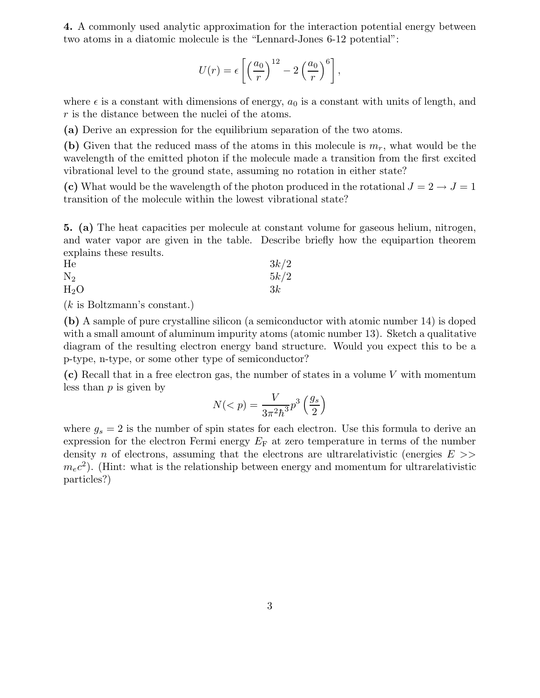4. A commonly used analytic approximation for the interaction potential energy between two atoms in a diatomic molecule is the "Lennard-Jones 6-12 potential":

$$
U(r) = \epsilon \left[ \left( \frac{a_0}{r} \right)^{12} - 2 \left( \frac{a_0}{r} \right)^6 \right],
$$

where  $\epsilon$  is a constant with dimensions of energy,  $a_0$  is a constant with units of length, and r is the distance between the nuclei of the atoms.

(a) Derive an expression for the equilibrium separation of the two atoms.

(b) Given that the reduced mass of the atoms in this molecule is  $m_r$ , what would be the wavelength of the emitted photon if the molecule made a transition from the first excited vibrational level to the ground state, assuming no rotation in either state?

(c) What would be the wavelength of the photon produced in the rotational  $J = 2 \rightarrow J = 1$ transition of the molecule within the lowest vibrational state?

5. (a) The heat capacities per molecule at constant volume for gaseous helium, nitrogen, and water vapor are given in the table. Describe briefly how the equipartion theorem explains these results.

He  $3k/2$  $N_2$  5k/2  $H_2O$  3k

(k is Boltzmann's constant.)

(b) A sample of pure crystalline silicon (a semiconductor with atomic number 14) is doped with a small amount of aluminum impurity atoms (atomic number 13). Sketch a qualitative diagram of the resulting electron energy band structure. Would you expect this to be a p-type, n-type, or some other type of semiconductor?

(c) Recall that in a free electron gas, the number of states in a volume V with momentum less than  $p$  is given by

$$
N(
$$

where  $g_s = 2$  is the number of spin states for each electron. Use this formula to derive an expression for the electron Fermi energy  $E_F$  at zero temperature in terms of the number density n of electrons, assuming that the electrons are ultrarelativistic (energies  $E \gg$ )  $m_ec^2$ ). (Hint: what is the relationship between energy and momentum for ultrarelativistic particles?)